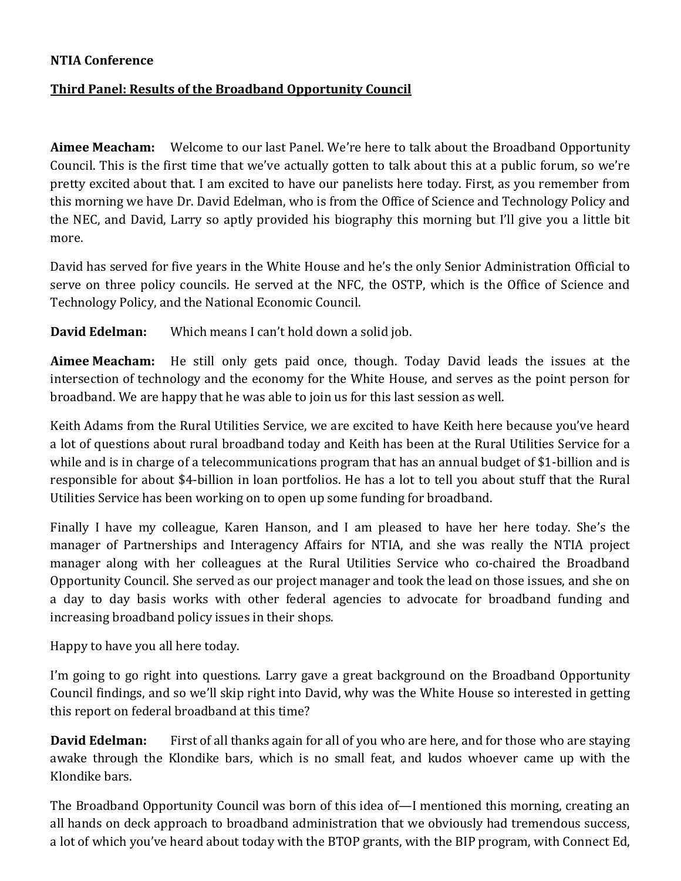## **NTIA Conference**

## **Third Panel: Results of the Broadband Opportunity Council**

**Aimee Meacham:** Welcome to our last Panel. We're here to talk about the Broadband Opportunity Council. This is the first time that we've actually gotten to talk about this at a public forum, so we're pretty excited about that. I am excited to have our panelists here today. First, as you remember from this morning we have Dr. David Edelman, who is from the Office of Science and Technology Policy and the NEC, and David, Larry so aptly provided his biography this morning but I'll give you a little bit more.

David has served for five years in the White House and he's the only Senior Administration Official to serve on three policy councils. He served at the NFC, the OSTP, which is the Office of Science and Technology Policy, and the National Economic Council.

**David Edelman:** Which means I can't hold down a solid job.

**Aimee Meacham:** He still only gets paid once, though. Today David leads the issues at the intersection of technology and the economy for the White House, and serves as the point person for broadband. We are happy that he was able to join us for this last session as well.

Keith Adams from the Rural Utilities Service, we are excited to have Keith here because you've heard a lot of questions about rural broadband today and Keith has been at the Rural Utilities Service for a while and is in charge of a telecommunications program that has an annual budget of \$1-billion and is responsible for about \$4-billion in loan portfolios. He has a lot to tell you about stuff that the Rural Utilities Service has been working on to open up some funding for broadband.

Finally I have my colleague, Karen Hanson, and I am pleased to have her here today. She's the manager of Partnerships and Interagency Affairs for NTIA, and she was really the NTIA project manager along with her colleagues at the Rural Utilities Service who co-chaired the Broadband Opportunity Council. She served as our project manager and took the lead on those issues, and she on a day to day basis works with other federal agencies to advocate for broadband funding and increasing broadband policy issues in their shops.

Happy to have you all here today.

I'm going to go right into questions. Larry gave a great background on the Broadband Opportunity Council findings, and so we'll skip right into David, why was the White House so interested in getting this report on federal broadband at this time?

**David Edelman:** First of all thanks again for all of you who are here, and for those who are staying awake through the Klondike bars, which is no small feat, and kudos whoever came up with the Klondike bars.

The Broadband Opportunity Council was born of this idea of—I mentioned this morning, creating an all hands on deck approach to broadband administration that we obviously had tremendous success, a lot of which you've heard about today with the BTOP grants, with the BIP program, with Connect Ed,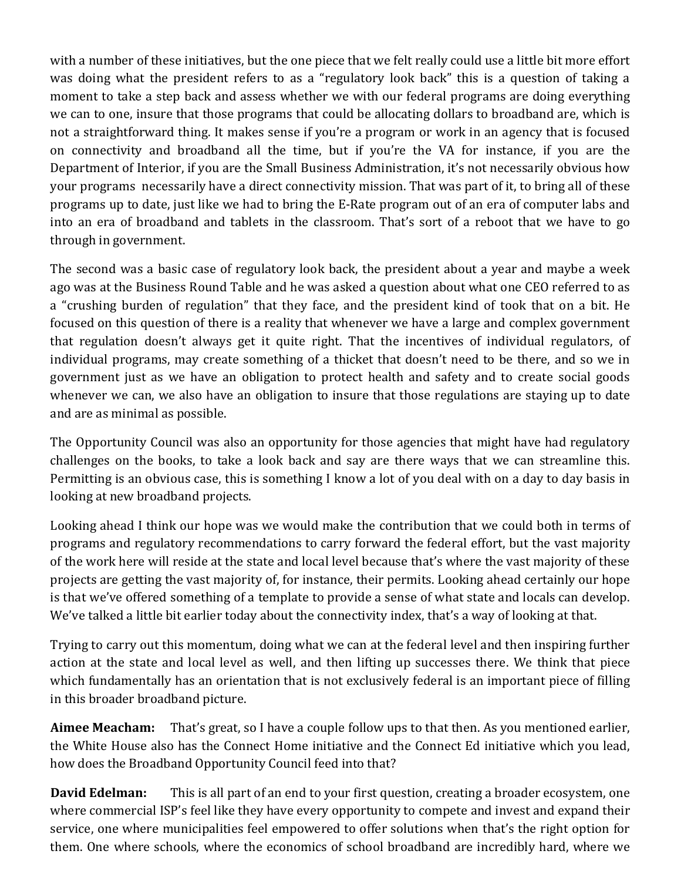with a number of these initiatives, but the one piece that we felt really could use a little bit more effort was doing what the president refers to as a "regulatory look back" this is a question of taking a moment to take a step back and assess whether we with our federal programs are doing everything we can to one, insure that those programs that could be allocating dollars to broadband are, which is not a straightforward thing. It makes sense if you're a program or work in an agency that is focused on connectivity and broadband all the time, but if you're the VA for instance, if you are the Department of Interior, if you are the Small Business Administration, it's not necessarily obvious how your programs necessarily have a direct connectivity mission. That was part of it, to bring all of these programs up to date, just like we had to bring the E-Rate program out of an era of computer labs and into an era of broadband and tablets in the classroom. That's sort of a reboot that we have to go through in government.

The second was a basic case of regulatory look back, the president about a year and maybe a week ago was at the Business Round Table and he was asked a question about what one CEO referred to as a "crushing burden of regulation" that they face, and the president kind of took that on a bit. He focused on this question of there is a reality that whenever we have a large and complex government that regulation doesn't always get it quite right. That the incentives of individual regulators, of individual programs, may create something of a thicket that doesn't need to be there, and so we in government just as we have an obligation to protect health and safety and to create social goods whenever we can, we also have an obligation to insure that those regulations are staying up to date and are as minimal as possible.

The Opportunity Council was also an opportunity for those agencies that might have had regulatory challenges on the books, to take a look back and say are there ways that we can streamline this. Permitting is an obvious case, this is something I know a lot of you deal with on a day to day basis in looking at new broadband projects.

Looking ahead I think our hope was we would make the contribution that we could both in terms of programs and regulatory recommendations to carry forward the federal effort, but the vast majority of the work here will reside at the state and local level because that's where the vast majority of these projects are getting the vast majority of, for instance, their permits. Looking ahead certainly our hope is that we've offered something of a template to provide a sense of what state and locals can develop. We've talked a little bit earlier today about the connectivity index, that's a way of looking at that.

Trying to carry out this momentum, doing what we can at the federal level and then inspiring further action at the state and local level as well, and then lifting up successes there. We think that piece which fundamentally has an orientation that is not exclusively federal is an important piece of filling in this broader broadband picture.

**Aimee Meacham:** That's great, so I have a couple follow ups to that then. As you mentioned earlier, the White House also has the Connect Home initiative and the Connect Ed initiative which you lead, how does the Broadband Opportunity Council feed into that?

**David Edelman:** This is all part of an end to your first question, creating a broader ecosystem, one where commercial ISP's feel like they have every opportunity to compete and invest and expand their service, one where municipalities feel empowered to offer solutions when that's the right option for them. One where schools, where the economics of school broadband are incredibly hard, where we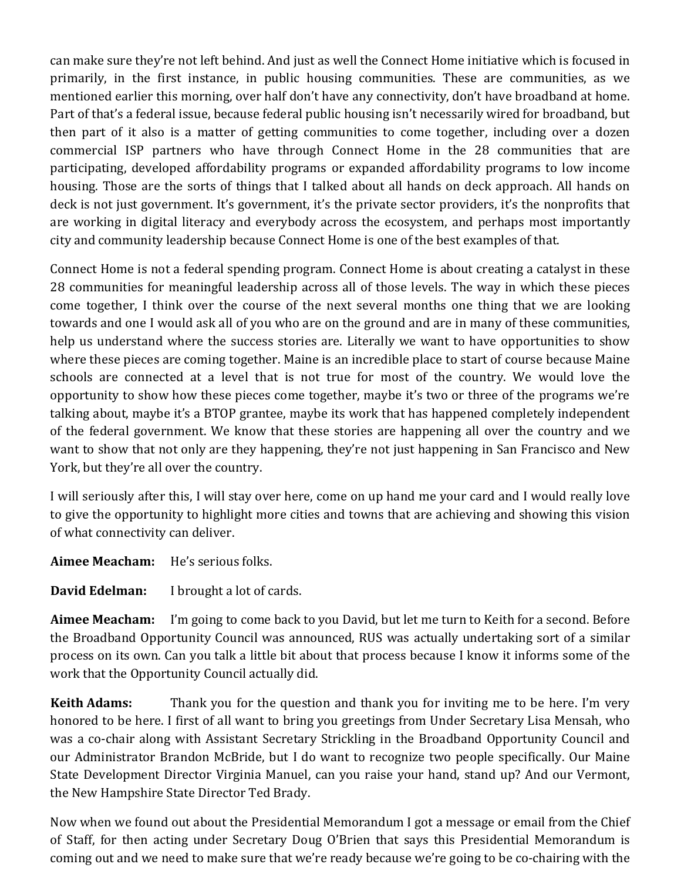can make sure they're not left behind. And just as well the Connect Home initiative which is focused in primarily, in the first instance, in public housing communities. These are communities, as we mentioned earlier this morning, over half don't have any connectivity, don't have broadband at home. Part of that's a federal issue, because federal public housing isn't necessarily wired for broadband, but then part of it also is a matter of getting communities to come together, including over a dozen commercial ISP partners who have through Connect Home in the 28 communities that are participating, developed affordability programs or expanded affordability programs to low income housing. Those are the sorts of things that I talked about all hands on deck approach. All hands on deck is not just government. It's government, it's the private sector providers, it's the nonprofits that are working in digital literacy and everybody across the ecosystem, and perhaps most importantly city and community leadership because Connect Home is one of the best examples of that.

Connect Home is not a federal spending program. Connect Home is about creating a catalyst in these 28 communities for meaningful leadership across all of those levels. The way in which these pieces come together, I think over the course of the next several months one thing that we are looking towards and one I would ask all of you who are on the ground and are in many of these communities, help us understand where the success stories are. Literally we want to have opportunities to show where these pieces are coming together. Maine is an incredible place to start of course because Maine schools are connected at a level that is not true for most of the country. We would love the opportunity to show how these pieces come together, maybe it's two or three of the programs we're talking about, maybe it's a BTOP grantee, maybe its work that has happened completely independent of the federal government. We know that these stories are happening all over the country and we want to show that not only are they happening, they're not just happening in San Francisco and New York, but they're all over the country.

I will seriously after this, I will stay over here, come on up hand me your card and I would really love to give the opportunity to highlight more cities and towns that are achieving and showing this vision of what connectivity can deliver.

**Aimee Meacham:** He's serious folks.

**David Edelman:** I brought a lot of cards.

**Aimee Meacham:** I'm going to come back to you David, but let me turn to Keith for a second. Before the Broadband Opportunity Council was announced, RUS was actually undertaking sort of a similar process on its own. Can you talk a little bit about that process because I know it informs some of the work that the Opportunity Council actually did.

**Keith Adams:** Thank you for the question and thank you for inviting me to be here. I'm very honored to be here. I first of all want to bring you greetings from Under Secretary Lisa Mensah, who was a co-chair along with Assistant Secretary Strickling in the Broadband Opportunity Council and our Administrator Brandon McBride, but I do want to recognize two people specifically. Our Maine State Development Director Virginia Manuel, can you raise your hand, stand up? And our Vermont, the New Hampshire State Director Ted Brady.

Now when we found out about the Presidential Memorandum I got a message or email from the Chief of Staff, for then acting under Secretary Doug O'Brien that says this Presidential Memorandum is coming out and we need to make sure that we're ready because we're going to be co-chairing with the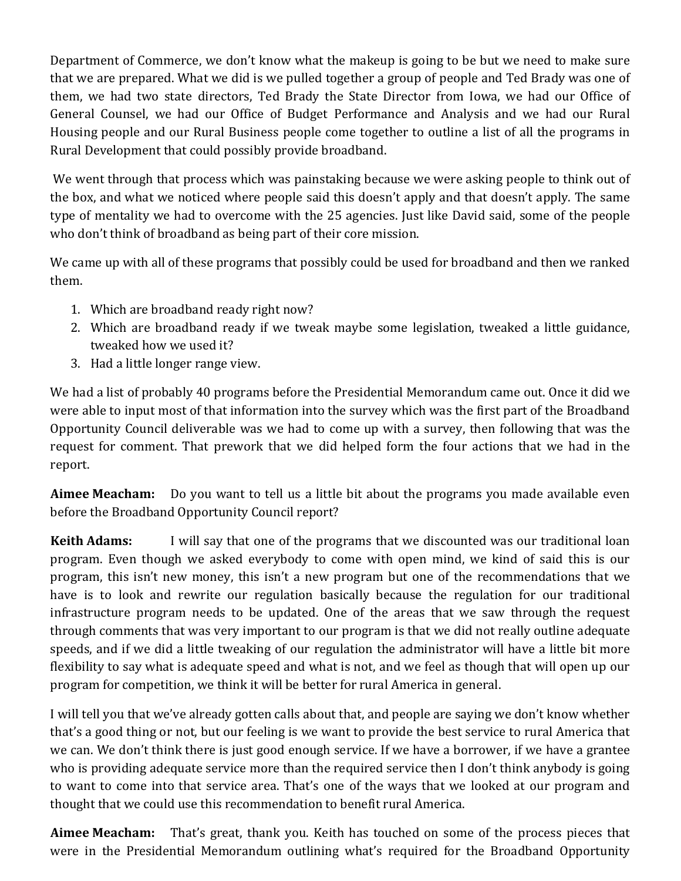Department of Commerce, we don't know what the makeup is going to be but we need to make sure that we are prepared. What we did is we pulled together a group of people and Ted Brady was one of them, we had two state directors, Ted Brady the State Director from Iowa, we had our Office of General Counsel, we had our Office of Budget Performance and Analysis and we had our Rural Housing people and our Rural Business people come together to outline a list of all the programs in Rural Development that could possibly provide broadband.

We went through that process which was painstaking because we were asking people to think out of the box, and what we noticed where people said this doesn't apply and that doesn't apply. The same type of mentality we had to overcome with the 25 agencies. Just like David said, some of the people who don't think of broadband as being part of their core mission.

We came up with all of these programs that possibly could be used for broadband and then we ranked them.

- 1. Which are broadband ready right now?
- 2. Which are broadband ready if we tweak maybe some legislation, tweaked a little guidance, tweaked how we used it?
- 3. Had a little longer range view.

We had a list of probably 40 programs before the Presidential Memorandum came out. Once it did we were able to input most of that information into the survey which was the first part of the Broadband Opportunity Council deliverable was we had to come up with a survey, then following that was the request for comment. That prework that we did helped form the four actions that we had in the report.

**Aimee Meacham:** Do you want to tell us a little bit about the programs you made available even before the Broadband Opportunity Council report?

**Keith Adams:** I will say that one of the programs that we discounted was our traditional loan program. Even though we asked everybody to come with open mind, we kind of said this is our program, this isn't new money, this isn't a new program but one of the recommendations that we have is to look and rewrite our regulation basically because the regulation for our traditional infrastructure program needs to be updated. One of the areas that we saw through the request through comments that was very important to our program is that we did not really outline adequate speeds, and if we did a little tweaking of our regulation the administrator will have a little bit more flexibility to say what is adequate speed and what is not, and we feel as though that will open up our program for competition, we think it will be better for rural America in general.

I will tell you that we've already gotten calls about that, and people are saying we don't know whether that's a good thing or not, but our feeling is we want to provide the best service to rural America that we can. We don't think there is just good enough service. If we have a borrower, if we have a grantee who is providing adequate service more than the required service then I don't think anybody is going to want to come into that service area. That's one of the ways that we looked at our program and thought that we could use this recommendation to benefit rural America.

**Aimee Meacham:** That's great, thank you. Keith has touched on some of the process pieces that were in the Presidential Memorandum outlining what's required for the Broadband Opportunity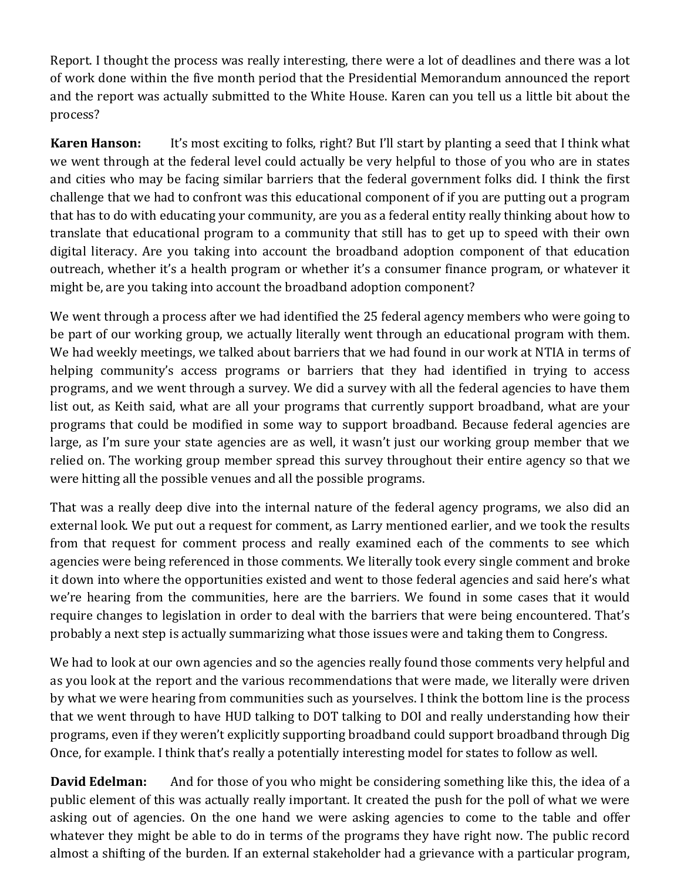Report. I thought the process was really interesting, there were a lot of deadlines and there was a lot of work done within the five month period that the Presidential Memorandum announced the report and the report was actually submitted to the White House. Karen can you tell us a little bit about the process?

**Karen Hanson:** It's most exciting to folks, right? But I'll start by planting a seed that I think what we went through at the federal level could actually be very helpful to those of you who are in states and cities who may be facing similar barriers that the federal government folks did. I think the first challenge that we had to confront was this educational component of if you are putting out a program that has to do with educating your community, are you as a federal entity really thinking about how to translate that educational program to a community that still has to get up to speed with their own digital literacy. Are you taking into account the broadband adoption component of that education outreach, whether it's a health program or whether it's a consumer finance program, or whatever it might be, are you taking into account the broadband adoption component?

We went through a process after we had identified the 25 federal agency members who were going to be part of our working group, we actually literally went through an educational program with them. We had weekly meetings, we talked about barriers that we had found in our work at NTIA in terms of helping community's access programs or barriers that they had identified in trying to access programs, and we went through a survey. We did a survey with all the federal agencies to have them list out, as Keith said, what are all your programs that currently support broadband, what are your programs that could be modified in some way to support broadband. Because federal agencies are large, as I'm sure your state agencies are as well, it wasn't just our working group member that we relied on. The working group member spread this survey throughout their entire agency so that we were hitting all the possible venues and all the possible programs.

That was a really deep dive into the internal nature of the federal agency programs, we also did an external look. We put out a request for comment, as Larry mentioned earlier, and we took the results from that request for comment process and really examined each of the comments to see which agencies were being referenced in those comments. We literally took every single comment and broke it down into where the opportunities existed and went to those federal agencies and said here's what we're hearing from the communities, here are the barriers. We found in some cases that it would require changes to legislation in order to deal with the barriers that were being encountered. That's probably a next step is actually summarizing what those issues were and taking them to Congress.

We had to look at our own agencies and so the agencies really found those comments very helpful and as you look at the report and the various recommendations that were made, we literally were driven by what we were hearing from communities such as yourselves. I think the bottom line is the process that we went through to have HUD talking to DOT talking to DOI and really understanding how their programs, even if they weren't explicitly supporting broadband could support broadband through Dig Once, for example. I think that's really a potentially interesting model for states to follow as well.

**David Edelman:** And for those of you who might be considering something like this, the idea of a public element of this was actually really important. It created the push for the poll of what we were asking out of agencies. On the one hand we were asking agencies to come to the table and offer whatever they might be able to do in terms of the programs they have right now. The public record almost a shifting of the burden. If an external stakeholder had a grievance with a particular program,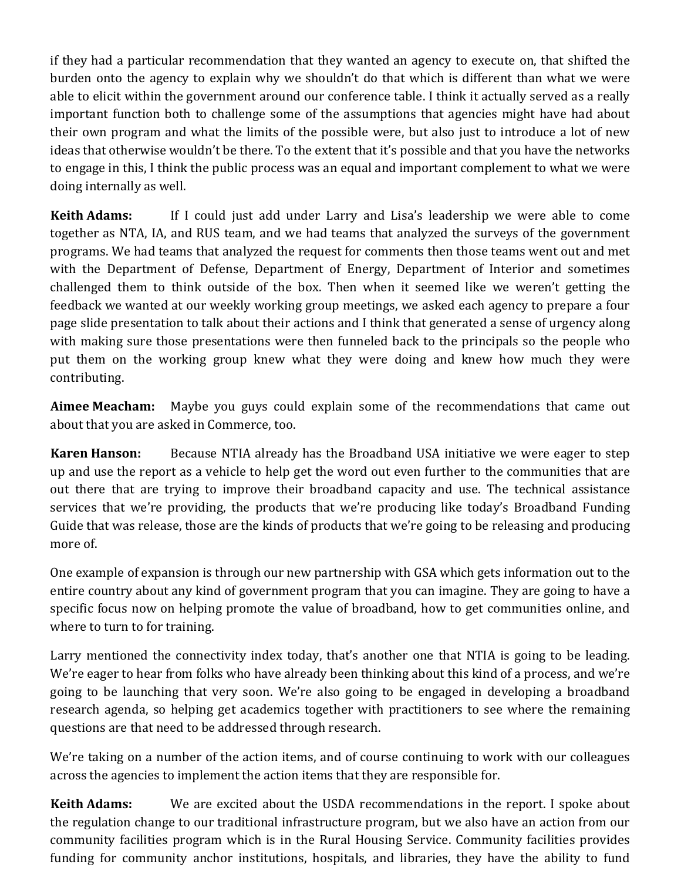if they had a particular recommendation that they wanted an agency to execute on, that shifted the burden onto the agency to explain why we shouldn't do that which is different than what we were able to elicit within the government around our conference table. I think it actually served as a really important function both to challenge some of the assumptions that agencies might have had about their own program and what the limits of the possible were, but also just to introduce a lot of new ideas that otherwise wouldn't be there. To the extent that it's possible and that you have the networks to engage in this, I think the public process was an equal and important complement to what we were doing internally as well.

**Keith Adams:** If I could just add under Larry and Lisa's leadership we were able to come together as NTA, IA, and RUS team, and we had teams that analyzed the surveys of the government programs. We had teams that analyzed the request for comments then those teams went out and met with the Department of Defense, Department of Energy, Department of Interior and sometimes challenged them to think outside of the box. Then when it seemed like we weren't getting the feedback we wanted at our weekly working group meetings, we asked each agency to prepare a four page slide presentation to talk about their actions and I think that generated a sense of urgency along with making sure those presentations were then funneled back to the principals so the people who put them on the working group knew what they were doing and knew how much they were contributing.

**Aimee Meacham:** Maybe you guys could explain some of the recommendations that came out about that you are asked in Commerce, too.

**Karen Hanson:** Because NTIA already has the Broadband USA initiative we were eager to step up and use the report as a vehicle to help get the word out even further to the communities that are out there that are trying to improve their broadband capacity and use. The technical assistance services that we're providing, the products that we're producing like today's Broadband Funding Guide that was release, those are the kinds of products that we're going to be releasing and producing more of.

One example of expansion is through our new partnership with GSA which gets information out to the entire country about any kind of government program that you can imagine. They are going to have a specific focus now on helping promote the value of broadband, how to get communities online, and where to turn to for training.

Larry mentioned the connectivity index today, that's another one that NTIA is going to be leading. We're eager to hear from folks who have already been thinking about this kind of a process, and we're going to be launching that very soon. We're also going to be engaged in developing a broadband research agenda, so helping get academics together with practitioners to see where the remaining questions are that need to be addressed through research.

We're taking on a number of the action items, and of course continuing to work with our colleagues across the agencies to implement the action items that they are responsible for.

**Keith Adams:** We are excited about the USDA recommendations in the report. I spoke about the regulation change to our traditional infrastructure program, but we also have an action from our community facilities program which is in the Rural Housing Service. Community facilities provides funding for community anchor institutions, hospitals, and libraries, they have the ability to fund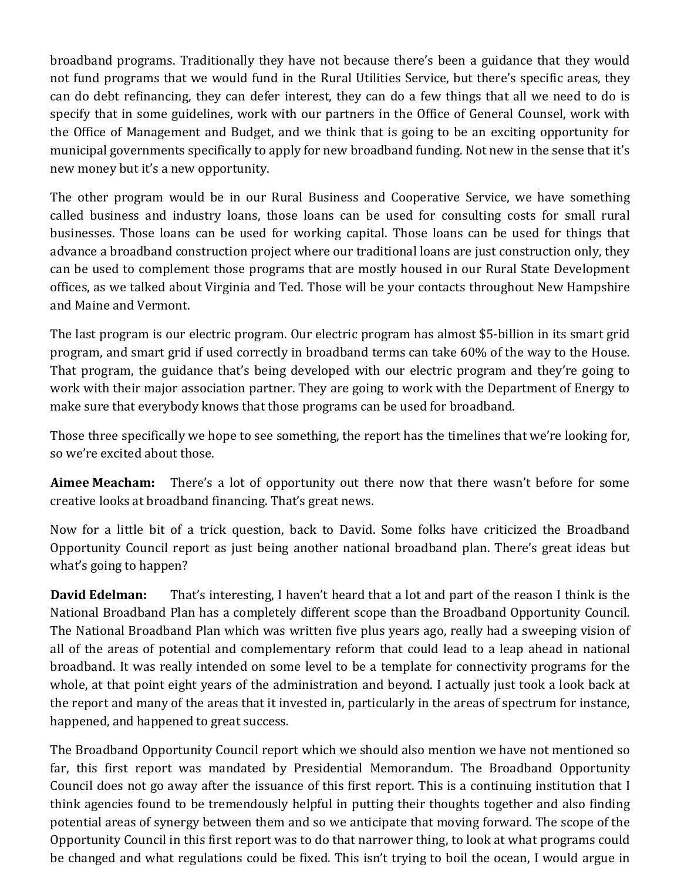broadband programs. Traditionally they have not because there's been a guidance that they would not fund programs that we would fund in the Rural Utilities Service, but there's specific areas, they can do debt refinancing, they can defer interest, they can do a few things that all we need to do is specify that in some guidelines, work with our partners in the Office of General Counsel, work with the Office of Management and Budget, and we think that is going to be an exciting opportunity for municipal governments specifically to apply for new broadband funding. Not new in the sense that it's new money but it's a new opportunity.

The other program would be in our Rural Business and Cooperative Service, we have something called business and industry loans, those loans can be used for consulting costs for small rural businesses. Those loans can be used for working capital. Those loans can be used for things that advance a broadband construction project where our traditional loans are just construction only, they can be used to complement those programs that are mostly housed in our Rural State Development offices, as we talked about Virginia and Ted. Those will be your contacts throughout New Hampshire and Maine and Vermont.

The last program is our electric program. Our electric program has almost \$5-billion in its smart grid program, and smart grid if used correctly in broadband terms can take 60% of the way to the House. That program, the guidance that's being developed with our electric program and they're going to work with their major association partner. They are going to work with the Department of Energy to make sure that everybody knows that those programs can be used for broadband.

Those three specifically we hope to see something, the report has the timelines that we're looking for, so we're excited about those.

**Aimee Meacham:** There's a lot of opportunity out there now that there wasn't before for some creative looks at broadband financing. That's great news.

Now for a little bit of a trick question, back to David. Some folks have criticized the Broadband Opportunity Council report as just being another national broadband plan. There's great ideas but what's going to happen?

**David Edelman:** That's interesting, I haven't heard that a lot and part of the reason I think is the National Broadband Plan has a completely different scope than the Broadband Opportunity Council. The National Broadband Plan which was written five plus years ago, really had a sweeping vision of all of the areas of potential and complementary reform that could lead to a leap ahead in national broadband. It was really intended on some level to be a template for connectivity programs for the whole, at that point eight years of the administration and beyond. I actually just took a look back at the report and many of the areas that it invested in, particularly in the areas of spectrum for instance, happened, and happened to great success.

The Broadband Opportunity Council report which we should also mention we have not mentioned so far, this first report was mandated by Presidential Memorandum. The Broadband Opportunity Council does not go away after the issuance of this first report. This is a continuing institution that I think agencies found to be tremendously helpful in putting their thoughts together and also finding potential areas of synergy between them and so we anticipate that moving forward. The scope of the Opportunity Council in this first report was to do that narrower thing, to look at what programs could be changed and what regulations could be fixed. This isn't trying to boil the ocean, I would argue in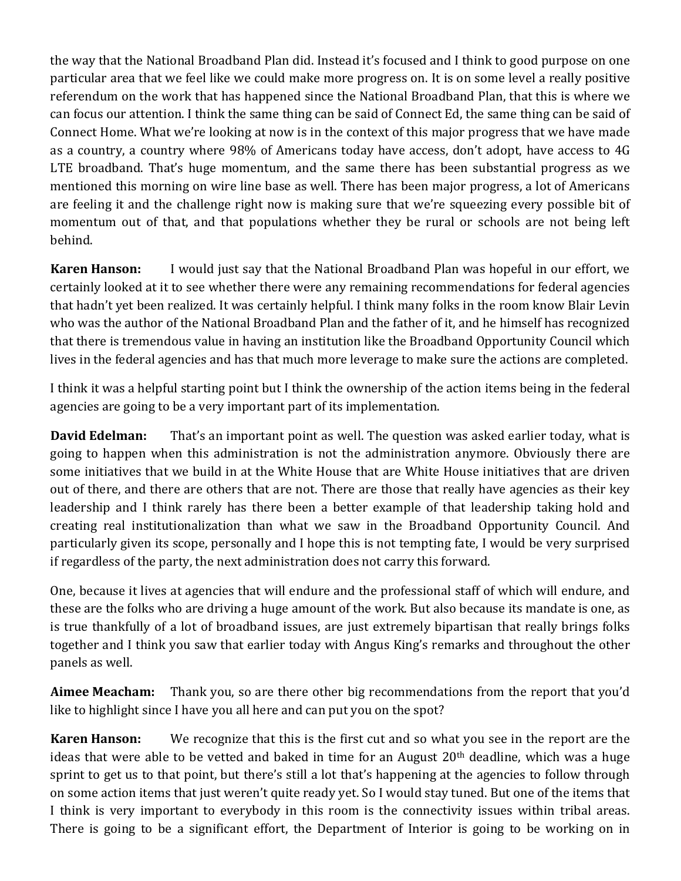the way that the National Broadband Plan did. Instead it's focused and I think to good purpose on one particular area that we feel like we could make more progress on. It is on some level a really positive referendum on the work that has happened since the National Broadband Plan, that this is where we can focus our attention. I think the same thing can be said of Connect Ed, the same thing can be said of Connect Home. What we're looking at now is in the context of this major progress that we have made as a country, a country where 98% of Americans today have access, don't adopt, have access to 4G LTE broadband. That's huge momentum, and the same there has been substantial progress as we mentioned this morning on wire line base as well. There has been major progress, a lot of Americans are feeling it and the challenge right now is making sure that we're squeezing every possible bit of momentum out of that, and that populations whether they be rural or schools are not being left behind.

**Karen Hanson:** I would just say that the National Broadband Plan was hopeful in our effort, we certainly looked at it to see whether there were any remaining recommendations for federal agencies that hadn't yet been realized. It was certainly helpful. I think many folks in the room know Blair Levin who was the author of the National Broadband Plan and the father of it, and he himself has recognized that there is tremendous value in having an institution like the Broadband Opportunity Council which lives in the federal agencies and has that much more leverage to make sure the actions are completed.

I think it was a helpful starting point but I think the ownership of the action items being in the federal agencies are going to be a very important part of its implementation.

**David Edelman:** That's an important point as well. The question was asked earlier today, what is going to happen when this administration is not the administration anymore. Obviously there are some initiatives that we build in at the White House that are White House initiatives that are driven out of there, and there are others that are not. There are those that really have agencies as their key leadership and I think rarely has there been a better example of that leadership taking hold and creating real institutionalization than what we saw in the Broadband Opportunity Council. And particularly given its scope, personally and I hope this is not tempting fate, I would be very surprised if regardless of the party, the next administration does not carry this forward.

One, because it lives at agencies that will endure and the professional staff of which will endure, and these are the folks who are driving a huge amount of the work. But also because its mandate is one, as is true thankfully of a lot of broadband issues, are just extremely bipartisan that really brings folks together and I think you saw that earlier today with Angus King's remarks and throughout the other panels as well.

**Aimee Meacham:** Thank you, so are there other big recommendations from the report that you'd like to highlight since I have you all here and can put you on the spot?

**Karen Hanson:** We recognize that this is the first cut and so what you see in the report are the ideas that were able to be vetted and baked in time for an August  $20<sup>th</sup>$  deadline, which was a huge sprint to get us to that point, but there's still a lot that's happening at the agencies to follow through on some action items that just weren't quite ready yet. So I would stay tuned. But one of the items that I think is very important to everybody in this room is the connectivity issues within tribal areas. There is going to be a significant effort, the Department of Interior is going to be working on in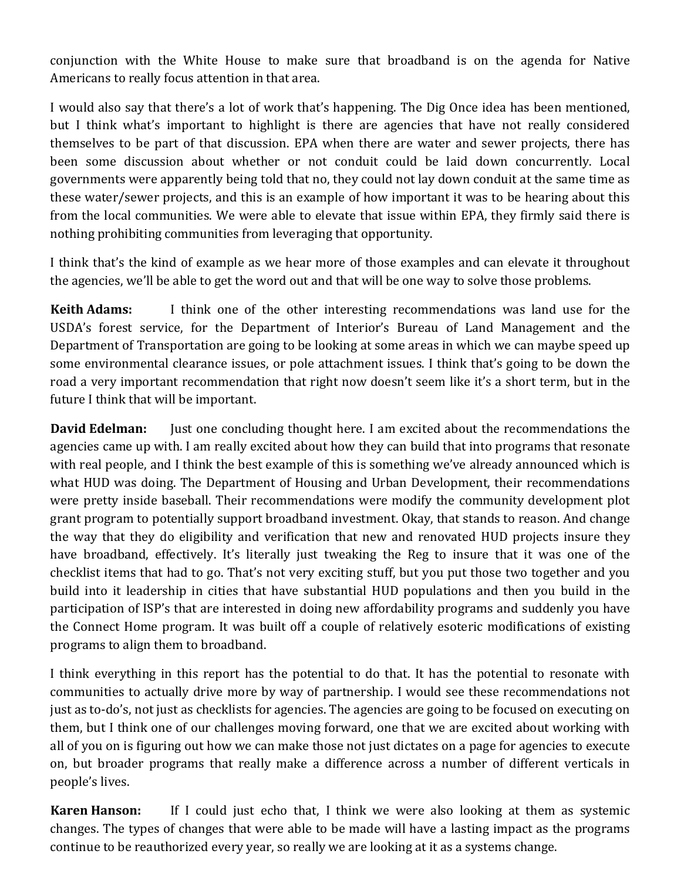conjunction with the White House to make sure that broadband is on the agenda for Native Americans to really focus attention in that area.

I would also say that there's a lot of work that's happening. The Dig Once idea has been mentioned, but I think what's important to highlight is there are agencies that have not really considered themselves to be part of that discussion. EPA when there are water and sewer projects, there has been some discussion about whether or not conduit could be laid down concurrently. Local governments were apparently being told that no, they could not lay down conduit at the same time as these water/sewer projects, and this is an example of how important it was to be hearing about this from the local communities. We were able to elevate that issue within EPA, they firmly said there is nothing prohibiting communities from leveraging that opportunity.

I think that's the kind of example as we hear more of those examples and can elevate it throughout the agencies, we'll be able to get the word out and that will be one way to solve those problems.

**Keith Adams:** I think one of the other interesting recommendations was land use for the USDA's forest service, for the Department of Interior's Bureau of Land Management and the Department of Transportation are going to be looking at some areas in which we can maybe speed up some environmental clearance issues, or pole attachment issues. I think that's going to be down the road a very important recommendation that right now doesn't seem like it's a short term, but in the future I think that will be important.

**David Edelman:** Just one concluding thought here. I am excited about the recommendations the agencies came up with. I am really excited about how they can build that into programs that resonate with real people, and I think the best example of this is something we've already announced which is what HUD was doing. The Department of Housing and Urban Development, their recommendations were pretty inside baseball. Their recommendations were modify the community development plot grant program to potentially support broadband investment. Okay, that stands to reason. And change the way that they do eligibility and verification that new and renovated HUD projects insure they have broadband, effectively. It's literally just tweaking the Reg to insure that it was one of the checklist items that had to go. That's not very exciting stuff, but you put those two together and you build into it leadership in cities that have substantial HUD populations and then you build in the participation of ISP's that are interested in doing new affordability programs and suddenly you have the Connect Home program. It was built off a couple of relatively esoteric modifications of existing programs to align them to broadband.

I think everything in this report has the potential to do that. It has the potential to resonate with communities to actually drive more by way of partnership. I would see these recommendations not just as to-do's, not just as checklists for agencies. The agencies are going to be focused on executing on them, but I think one of our challenges moving forward, one that we are excited about working with all of you on is figuring out how we can make those not just dictates on a page for agencies to execute on, but broader programs that really make a difference across a number of different verticals in people's lives.

**Karen Hanson:** If I could just echo that, I think we were also looking at them as systemic changes. The types of changes that were able to be made will have a lasting impact as the programs continue to be reauthorized every year, so really we are looking at it as a systems change.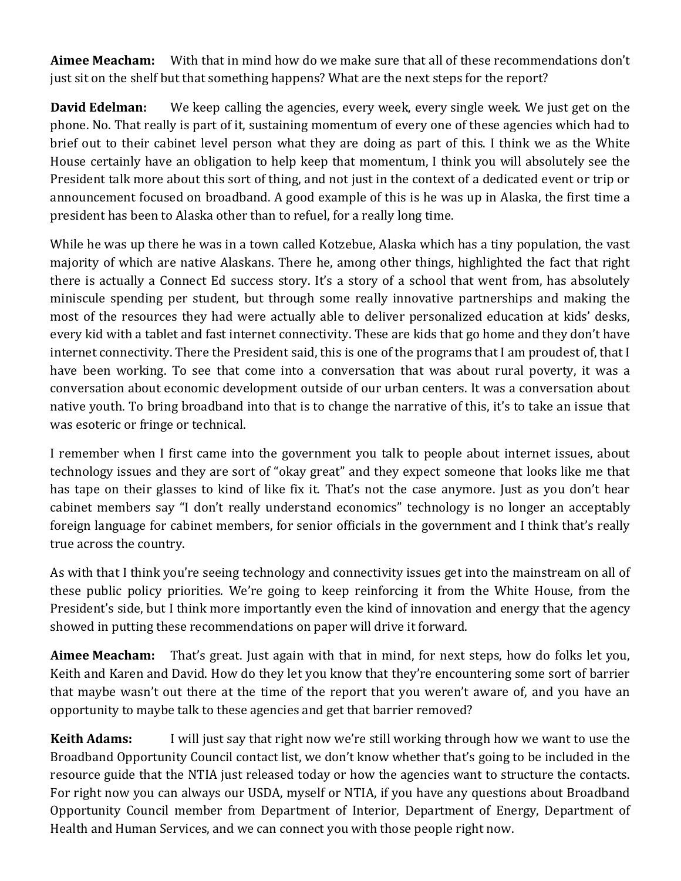**Aimee Meacham:** With that in mind how do we make sure that all of these recommendations don't just sit on the shelf but that something happens? What are the next steps for the report?

**David Edelman:** We keep calling the agencies, every week, every single week. We just get on the phone. No. That really is part of it, sustaining momentum of every one of these agencies which had to brief out to their cabinet level person what they are doing as part of this. I think we as the White House certainly have an obligation to help keep that momentum, I think you will absolutely see the President talk more about this sort of thing, and not just in the context of a dedicated event or trip or announcement focused on broadband. A good example of this is he was up in Alaska, the first time a president has been to Alaska other than to refuel, for a really long time.

While he was up there he was in a town called Kotzebue, Alaska which has a tiny population, the vast majority of which are native Alaskans. There he, among other things, highlighted the fact that right there is actually a Connect Ed success story. It's a story of a school that went from, has absolutely miniscule spending per student, but through some really innovative partnerships and making the most of the resources they had were actually able to deliver personalized education at kids' desks, every kid with a tablet and fast internet connectivity. These are kids that go home and they don't have internet connectivity. There the President said, this is one of the programs that I am proudest of, that I have been working. To see that come into a conversation that was about rural poverty, it was a conversation about economic development outside of our urban centers. It was a conversation about native youth. To bring broadband into that is to change the narrative of this, it's to take an issue that was esoteric or fringe or technical.

I remember when I first came into the government you talk to people about internet issues, about technology issues and they are sort of "okay great" and they expect someone that looks like me that has tape on their glasses to kind of like fix it. That's not the case anymore. Just as you don't hear cabinet members say "I don't really understand economics" technology is no longer an acceptably foreign language for cabinet members, for senior officials in the government and I think that's really true across the country.

As with that I think you're seeing technology and connectivity issues get into the mainstream on all of these public policy priorities. We're going to keep reinforcing it from the White House, from the President's side, but I think more importantly even the kind of innovation and energy that the agency showed in putting these recommendations on paper will drive it forward.

**Aimee Meacham:** That's great. Just again with that in mind, for next steps, how do folks let you, Keith and Karen and David. How do they let you know that they're encountering some sort of barrier that maybe wasn't out there at the time of the report that you weren't aware of, and you have an opportunity to maybe talk to these agencies and get that barrier removed?

**Keith Adams:** I will just say that right now we're still working through how we want to use the Broadband Opportunity Council contact list, we don't know whether that's going to be included in the resource guide that the NTIA just released today or how the agencies want to structure the contacts. For right now you can always our USDA, myself or NTIA, if you have any questions about Broadband Opportunity Council member from Department of Interior, Department of Energy, Department of Health and Human Services, and we can connect you with those people right now.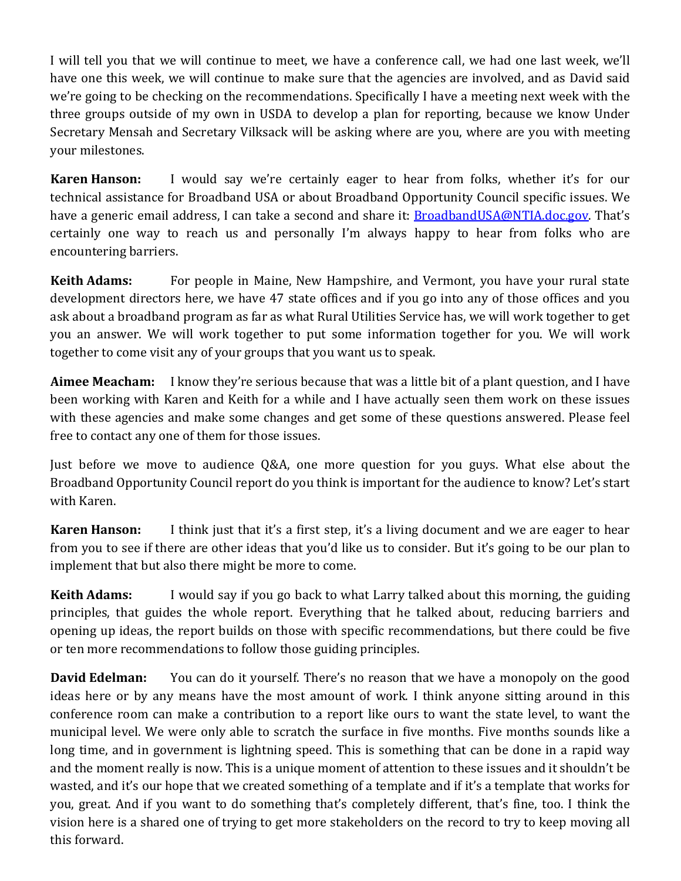I will tell you that we will continue to meet, we have a conference call, we had one last week, we'll have one this week, we will continue to make sure that the agencies are involved, and as David said we're going to be checking on the recommendations. Specifically I have a meeting next week with the three groups outside of my own in USDA to develop a plan for reporting, because we know Under Secretary Mensah and Secretary Vilksack will be asking where are you, where are you with meeting your milestones.

**Karen Hanson:** I would say we're certainly eager to hear from folks, whether it's for our technical assistance for Broadband USA or about Broadband Opportunity Council specific issues. We have a generic email address, I can take a second and share it: [BroadbandUSA@NTIA.doc.gov.](mailto:BroadbandUSA@NTIA.doc.gov) That's certainly one way to reach us and personally I'm always happy to hear from folks who are encountering barriers.

**Keith Adams:** For people in Maine, New Hampshire, and Vermont, you have your rural state development directors here, we have 47 state offices and if you go into any of those offices and you ask about a broadband program as far as what Rural Utilities Service has, we will work together to get you an answer. We will work together to put some information together for you. We will work together to come visit any of your groups that you want us to speak.

**Aimee Meacham:** I know they're serious because that was a little bit of a plant question, and I have been working with Karen and Keith for a while and I have actually seen them work on these issues with these agencies and make some changes and get some of these questions answered. Please feel free to contact any one of them for those issues.

Just before we move to audience Q&A, one more question for you guys. What else about the Broadband Opportunity Council report do you think is important for the audience to know? Let's start with Karen.

**Karen Hanson:** I think just that it's a first step, it's a living document and we are eager to hear from you to see if there are other ideas that you'd like us to consider. But it's going to be our plan to implement that but also there might be more to come.

**Keith Adams:** I would say if you go back to what Larry talked about this morning, the guiding principles, that guides the whole report. Everything that he talked about, reducing barriers and opening up ideas, the report builds on those with specific recommendations, but there could be five or ten more recommendations to follow those guiding principles.

**David Edelman:** You can do it yourself. There's no reason that we have a monopoly on the good ideas here or by any means have the most amount of work. I think anyone sitting around in this conference room can make a contribution to a report like ours to want the state level, to want the municipal level. We were only able to scratch the surface in five months. Five months sounds like a long time, and in government is lightning speed. This is something that can be done in a rapid way and the moment really is now. This is a unique moment of attention to these issues and it shouldn't be wasted, and it's our hope that we created something of a template and if it's a template that works for you, great. And if you want to do something that's completely different, that's fine, too. I think the vision here is a shared one of trying to get more stakeholders on the record to try to keep moving all this forward.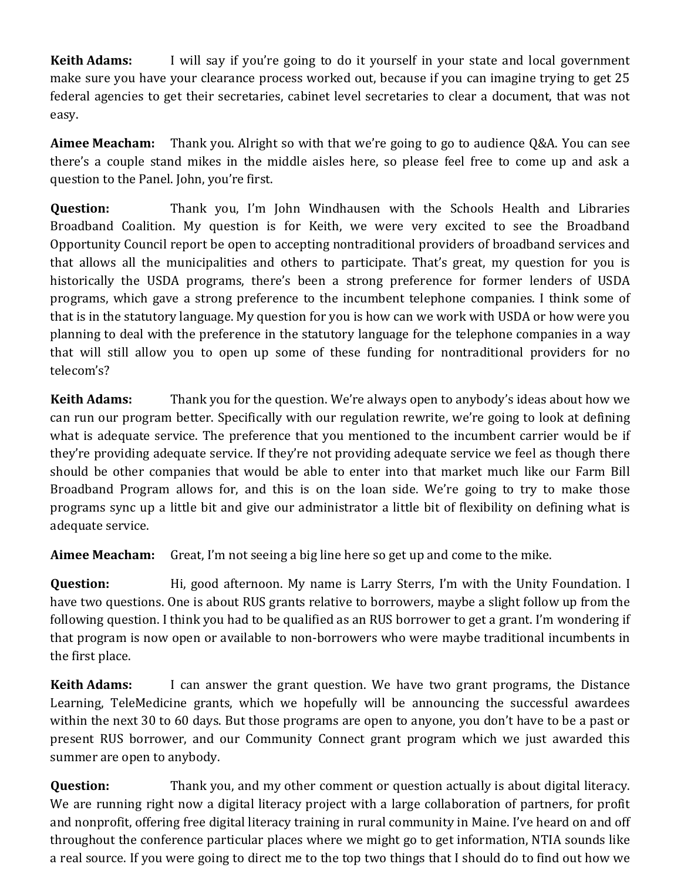**Keith Adams:** I will say if you're going to do it yourself in your state and local government make sure you have your clearance process worked out, because if you can imagine trying to get 25 federal agencies to get their secretaries, cabinet level secretaries to clear a document, that was not easy.

**Aimee Meacham:** Thank you. Alright so with that we're going to go to audience Q&A. You can see there's a couple stand mikes in the middle aisles here, so please feel free to come up and ask a question to the Panel. John, you're first.

**Question:** Thank you, I'm John Windhausen with the Schools Health and Libraries Broadband Coalition. My question is for Keith, we were very excited to see the Broadband Opportunity Council report be open to accepting nontraditional providers of broadband services and that allows all the municipalities and others to participate. That's great, my question for you is historically the USDA programs, there's been a strong preference for former lenders of USDA programs, which gave a strong preference to the incumbent telephone companies. I think some of that is in the statutory language. My question for you is how can we work with USDA or how were you planning to deal with the preference in the statutory language for the telephone companies in a way that will still allow you to open up some of these funding for nontraditional providers for no telecom's?

**Keith Adams:** Thank you for the question. We're always open to anybody's ideas about how we can run our program better. Specifically with our regulation rewrite, we're going to look at defining what is adequate service. The preference that you mentioned to the incumbent carrier would be if they're providing adequate service. If they're not providing adequate service we feel as though there should be other companies that would be able to enter into that market much like our Farm Bill Broadband Program allows for, and this is on the loan side. We're going to try to make those programs sync up a little bit and give our administrator a little bit of flexibility on defining what is adequate service.

**Aimee Meacham:** Great, I'm not seeing a big line here so get up and come to the mike.

**Question:** Hi, good afternoon. My name is Larry Sterrs, I'm with the Unity Foundation. I have two questions. One is about RUS grants relative to borrowers, maybe a slight follow up from the following question. I think you had to be qualified as an RUS borrower to get a grant. I'm wondering if that program is now open or available to non-borrowers who were maybe traditional incumbents in the first place.

**Keith Adams:** I can answer the grant question. We have two grant programs, the Distance Learning, TeleMedicine grants, which we hopefully will be announcing the successful awardees within the next 30 to 60 days. But those programs are open to anyone, you don't have to be a past or present RUS borrower, and our Community Connect grant program which we just awarded this summer are open to anybody.

**Question:** Thank you, and my other comment or question actually is about digital literacy. We are running right now a digital literacy project with a large collaboration of partners, for profit and nonprofit, offering free digital literacy training in rural community in Maine. I've heard on and off throughout the conference particular places where we might go to get information, NTIA sounds like a real source. If you were going to direct me to the top two things that I should do to find out how we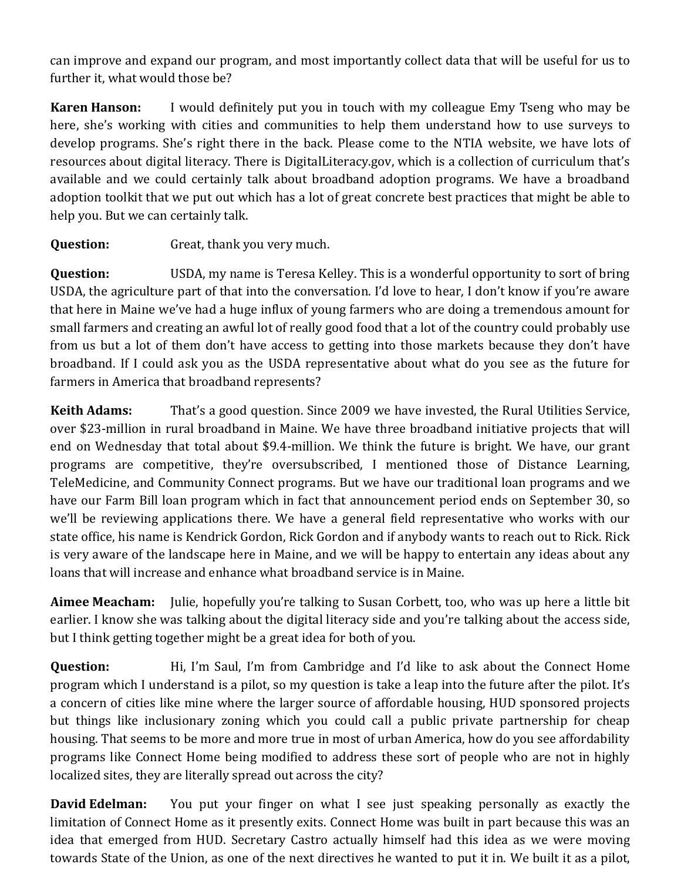can improve and expand our program, and most importantly collect data that will be useful for us to further it, what would those be?

**Karen Hanson:** I would definitely put you in touch with my colleague Emy Tseng who may be here, she's working with cities and communities to help them understand how to use surveys to develop programs. She's right there in the back. Please come to the NTIA website, we have lots of resources about digital literacy. There is DigitalLiteracy.gov, which is a collection of curriculum that's available and we could certainly talk about broadband adoption programs. We have a broadband adoption toolkit that we put out which has a lot of great concrete best practices that might be able to help you. But we can certainly talk.

**Question:** Great, thank you very much.

**Question:** USDA, my name is Teresa Kelley. This is a wonderful opportunity to sort of bring USDA, the agriculture part of that into the conversation. I'd love to hear, I don't know if you're aware that here in Maine we've had a huge influx of young farmers who are doing a tremendous amount for small farmers and creating an awful lot of really good food that a lot of the country could probably use from us but a lot of them don't have access to getting into those markets because they don't have broadband. If I could ask you as the USDA representative about what do you see as the future for farmers in America that broadband represents?

**Keith Adams:** That's a good question. Since 2009 we have invested, the Rural Utilities Service, over \$23-million in rural broadband in Maine. We have three broadband initiative projects that will end on Wednesday that total about \$9.4-million. We think the future is bright. We have, our grant programs are competitive, they're oversubscribed, I mentioned those of Distance Learning, TeleMedicine, and Community Connect programs. But we have our traditional loan programs and we have our Farm Bill loan program which in fact that announcement period ends on September 30, so we'll be reviewing applications there. We have a general field representative who works with our state office, his name is Kendrick Gordon, Rick Gordon and if anybody wants to reach out to Rick. Rick is very aware of the landscape here in Maine, and we will be happy to entertain any ideas about any loans that will increase and enhance what broadband service is in Maine.

**Aimee Meacham:** Julie, hopefully you're talking to Susan Corbett, too, who was up here a little bit earlier. I know she was talking about the digital literacy side and you're talking about the access side, but I think getting together might be a great idea for both of you.

**Question:** Hi, I'm Saul, I'm from Cambridge and I'd like to ask about the Connect Home program which I understand is a pilot, so my question is take a leap into the future after the pilot. It's a concern of cities like mine where the larger source of affordable housing, HUD sponsored projects but things like inclusionary zoning which you could call a public private partnership for cheap housing. That seems to be more and more true in most of urban America, how do you see affordability programs like Connect Home being modified to address these sort of people who are not in highly localized sites, they are literally spread out across the city?

**David Edelman:** You put your finger on what I see just speaking personally as exactly the limitation of Connect Home as it presently exits. Connect Home was built in part because this was an idea that emerged from HUD. Secretary Castro actually himself had this idea as we were moving towards State of the Union, as one of the next directives he wanted to put it in. We built it as a pilot,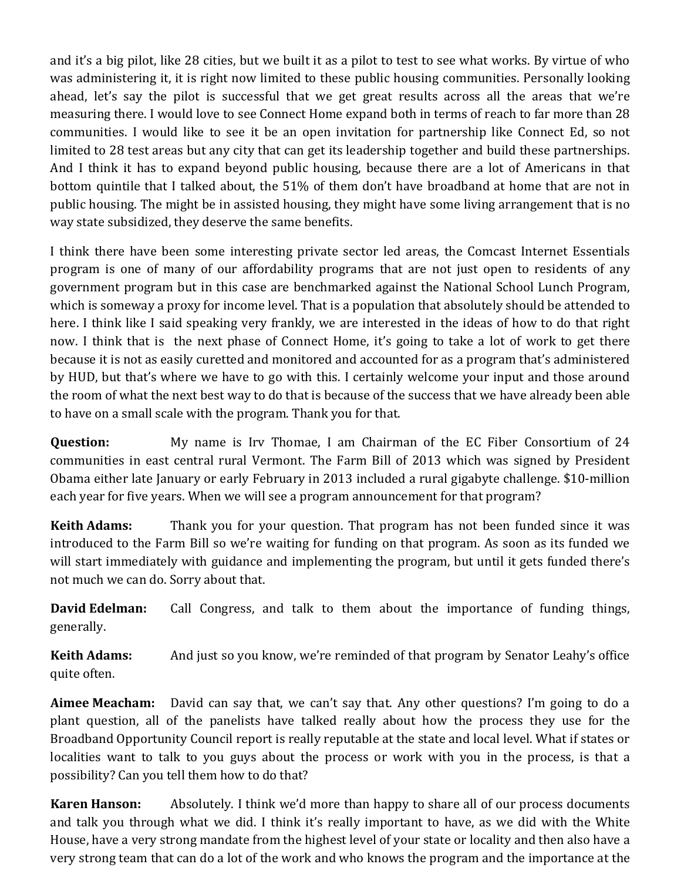and it's a big pilot, like 28 cities, but we built it as a pilot to test to see what works. By virtue of who was administering it, it is right now limited to these public housing communities. Personally looking ahead, let's say the pilot is successful that we get great results across all the areas that we're measuring there. I would love to see Connect Home expand both in terms of reach to far more than 28 communities. I would like to see it be an open invitation for partnership like Connect Ed, so not limited to 28 test areas but any city that can get its leadership together and build these partnerships. And I think it has to expand beyond public housing, because there are a lot of Americans in that bottom quintile that I talked about, the 51% of them don't have broadband at home that are not in public housing. The might be in assisted housing, they might have some living arrangement that is no way state subsidized, they deserve the same benefits.

I think there have been some interesting private sector led areas, the Comcast Internet Essentials program is one of many of our affordability programs that are not just open to residents of any government program but in this case are benchmarked against the National School Lunch Program, which is someway a proxy for income level. That is a population that absolutely should be attended to here. I think like I said speaking very frankly, we are interested in the ideas of how to do that right now. I think that is the next phase of Connect Home, it's going to take a lot of work to get there because it is not as easily curetted and monitored and accounted for as a program that's administered by HUD, but that's where we have to go with this. I certainly welcome your input and those around the room of what the next best way to do that is because of the success that we have already been able to have on a small scale with the program. Thank you for that.

**Question:** My name is Irv Thomae, I am Chairman of the EC Fiber Consortium of 24 communities in east central rural Vermont. The Farm Bill of 2013 which was signed by President Obama either late January or early February in 2013 included a rural gigabyte challenge. \$10-million each year for five years. When we will see a program announcement for that program?

**Keith Adams:** Thank you for your question. That program has not been funded since it was introduced to the Farm Bill so we're waiting for funding on that program. As soon as its funded we will start immediately with guidance and implementing the program, but until it gets funded there's not much we can do. Sorry about that.

**David Edelman:** Call Congress, and talk to them about the importance of funding things, generally.

**Keith Adams:** And just so you know, we're reminded of that program by Senator Leahy's office quite often.

**Aimee Meacham:** David can say that, we can't say that. Any other questions? I'm going to do a plant question, all of the panelists have talked really about how the process they use for the Broadband Opportunity Council report is really reputable at the state and local level. What if states or localities want to talk to you guys about the process or work with you in the process, is that a possibility? Can you tell them how to do that?

**Karen Hanson:** Absolutely. I think we'd more than happy to share all of our process documents and talk you through what we did. I think it's really important to have, as we did with the White House, have a very strong mandate from the highest level of your state or locality and then also have a very strong team that can do a lot of the work and who knows the program and the importance at the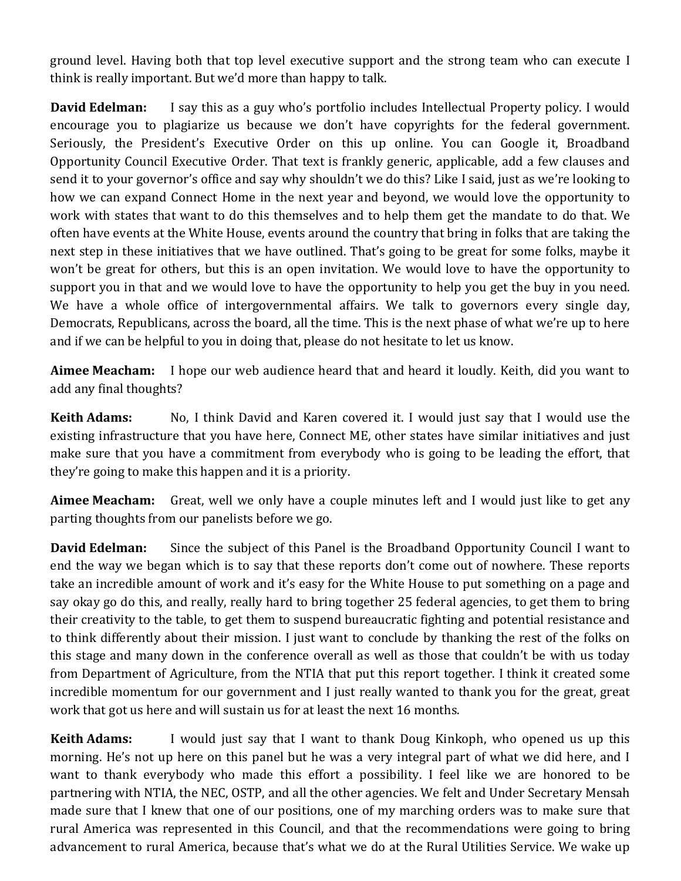ground level. Having both that top level executive support and the strong team who can execute I think is really important. But we'd more than happy to talk.

**David Edelman:** I say this as a guy who's portfolio includes Intellectual Property policy. I would encourage you to plagiarize us because we don't have copyrights for the federal government. Seriously, the President's Executive Order on this up online. You can Google it, Broadband Opportunity Council Executive Order. That text is frankly generic, applicable, add a few clauses and send it to your governor's office and say why shouldn't we do this? Like I said, just as we're looking to how we can expand Connect Home in the next year and beyond, we would love the opportunity to work with states that want to do this themselves and to help them get the mandate to do that. We often have events at the White House, events around the country that bring in folks that are taking the next step in these initiatives that we have outlined. That's going to be great for some folks, maybe it won't be great for others, but this is an open invitation. We would love to have the opportunity to support you in that and we would love to have the opportunity to help you get the buy in you need. We have a whole office of intergovernmental affairs. We talk to governors every single day, Democrats, Republicans, across the board, all the time. This is the next phase of what we're up to here and if we can be helpful to you in doing that, please do not hesitate to let us know.

**Aimee Meacham:** I hope our web audience heard that and heard it loudly. Keith, did you want to add any final thoughts?

**Keith Adams:** No, I think David and Karen covered it. I would just say that I would use the existing infrastructure that you have here, Connect ME, other states have similar initiatives and just make sure that you have a commitment from everybody who is going to be leading the effort, that they're going to make this happen and it is a priority.

**Aimee Meacham:** Great, well we only have a couple minutes left and I would just like to get any parting thoughts from our panelists before we go.

**David Edelman:** Since the subject of this Panel is the Broadband Opportunity Council I want to end the way we began which is to say that these reports don't come out of nowhere. These reports take an incredible amount of work and it's easy for the White House to put something on a page and say okay go do this, and really, really hard to bring together 25 federal agencies, to get them to bring their creativity to the table, to get them to suspend bureaucratic fighting and potential resistance and to think differently about their mission. I just want to conclude by thanking the rest of the folks on this stage and many down in the conference overall as well as those that couldn't be with us today from Department of Agriculture, from the NTIA that put this report together. I think it created some incredible momentum for our government and I just really wanted to thank you for the great, great work that got us here and will sustain us for at least the next 16 months.

**Keith Adams:** I would just say that I want to thank Doug Kinkoph, who opened us up this morning. He's not up here on this panel but he was a very integral part of what we did here, and I want to thank everybody who made this effort a possibility. I feel like we are honored to be partnering with NTIA, the NEC, OSTP, and all the other agencies. We felt and Under Secretary Mensah made sure that I knew that one of our positions, one of my marching orders was to make sure that rural America was represented in this Council, and that the recommendations were going to bring advancement to rural America, because that's what we do at the Rural Utilities Service. We wake up